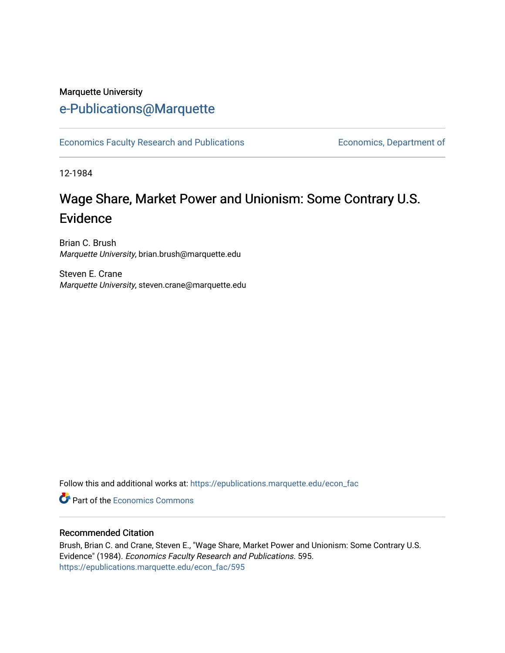## Marquette University [e-Publications@Marquette](https://epublications.marquette.edu/)

[Economics Faculty Research and Publications](https://epublications.marquette.edu/econ_fac) **Economics**, Department of

12-1984

# Wage Share, Market Power and Unionism: Some Contrary U.S. Evidence

Brian C. Brush Marquette University, brian.brush@marquette.edu

Steven E. Crane Marquette University, steven.crane@marquette.edu

Follow this and additional works at: [https://epublications.marquette.edu/econ\\_fac](https://epublications.marquette.edu/econ_fac?utm_source=epublications.marquette.edu%2Fecon_fac%2F595&utm_medium=PDF&utm_campaign=PDFCoverPages) 

**C** Part of the [Economics Commons](http://network.bepress.com/hgg/discipline/340?utm_source=epublications.marquette.edu%2Fecon_fac%2F595&utm_medium=PDF&utm_campaign=PDFCoverPages)

#### Recommended Citation

Brush, Brian C. and Crane, Steven E., "Wage Share, Market Power and Unionism: Some Contrary U.S. Evidence" (1984). Economics Faculty Research and Publications. 595. [https://epublications.marquette.edu/econ\\_fac/595](https://epublications.marquette.edu/econ_fac/595?utm_source=epublications.marquette.edu%2Fecon_fac%2F595&utm_medium=PDF&utm_campaign=PDFCoverPages)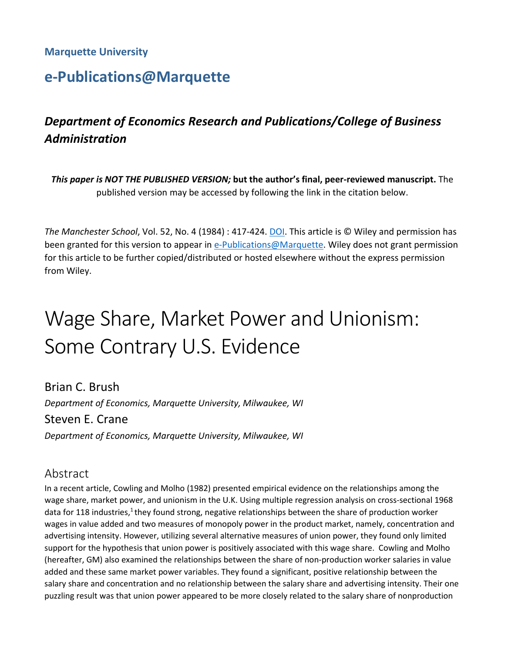#### **Marquette University**

# **e-Publications@Marquette**

## *Department of Economics Research and Publications/College of Business Administration*

*This paper is NOT THE PUBLISHED VERSION;* **but the author's final, peer-reviewed manuscript.** The published version may be accessed by following the link in the citation below.

*The Manchester School*, Vol. 52, No. 4 (1984) : 417-424. [DOI.](https://onlinelibrary.wiley.com/doi/abs/10.1111/j.1467-9957.1984.tb00794.x) This article is © Wiley and permission has been granted for this version to appear in [e-Publications@Marquette.](http://epublications.marquette.edu/) Wiley does not grant permission for this article to be further copied/distributed or hosted elsewhere without the express permission from Wiley.

# Wage Share, Market Power and Unionism: Some Contrary U.S. Evidence

Brian C. Brush *Department of Economics, Marquette University, Milwaukee, WI* Steven E. Crane *Department of Economics, Marquette University, Milwaukee, WI*

#### Abstract

In a recent article, Cowling and Molho (1982) presented empirical evidence on the relationships among the wage share, market power, and unionism in the U.K. Using multiple regression analysis on cross-sectional 1968 data for 118 industries,<sup>1</sup> they found strong, negative relationships between the share of production worker wages in value added and two measures of monopoly power in the product market, namely, concentration and advertising intensity. However, utilizing several alternative measures of union power, they found only limited support for the hypothesis that union power is positively associated with this wage share. Cowling and Molho (hereafter, GM) also examined the relationships between the share of non-production worker salaries in value added and these same market power variables. They found a significant, positive relationship between the salary share and concentration and no relationship between the salary share and advertising intensity. Their one puzzling result was that union power appeared to be more closely related to the salary share of nonproduction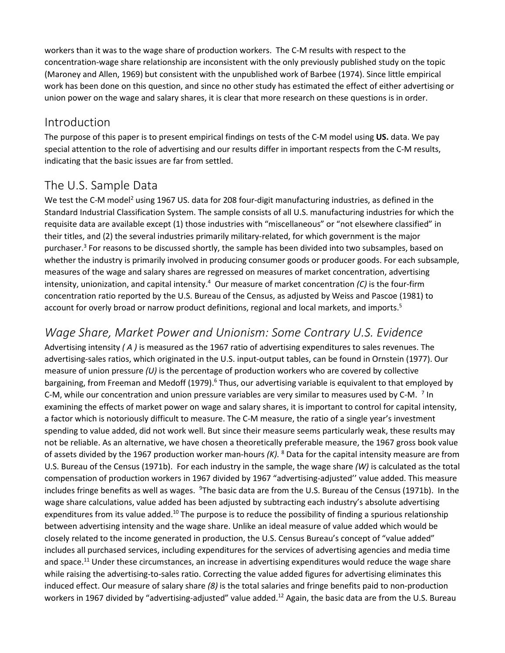workers than it was to the wage share of production workers. The C-M results with respect to the concentration-wage share relationship are inconsistent with the only previously published study on the topic (Maroney and Allen, 1969) but consistent with the unpublished work of Barbee (1974). Since little empirical work has been done on this question, and since no other study has estimated the effect of either advertising or union power on the wage and salary shares, it is clear that more research on these questions is in order.

#### Introduction

The purpose of this paper is to present empirical findings on tests of the C-M model using **US.** data. We pay special attention to the role of advertising and our results differ in important respects from the C-M results, indicating that the basic issues are far from settled.

## The U.S. Sample Data

We test the C-M model<sup>2</sup> using 1967 US. data for 208 four-digit manufacturing industries, as defined in the Standard Industrial Classification System. The sample consists of all U.S. manufacturing industries for which the requisite data are available except (1) those industries with "miscellaneous" or "not elsewhere classified" in their titles, and (2) the several industries primarily military-related, for which government is the major purchaser.3 For reasons to be discussed shortly, the sample has been divided into two subsamples, based on whether the industry is primarily involved in producing consumer goods or producer goods. For each subsample, measures of the wage and salary shares are regressed on measures of market concentration, advertising intensity, unionization, and capital intensity.4 Our measure of market concentration *(C)* is the four-firm concentration ratio reported by the U.S. Bureau of the Census, as adjusted by Weiss and Pascoe (1981) to account for overly broad or narrow product definitions, regional and local markets, and imports.<sup>5</sup>

## *Wage Share, Market Power and Unionism: Some Contrary U.S. Evidence*

Advertising intensity *( A )* is measured as the 1967 ratio of advertising expenditures to sales revenues. The advertising-sales ratios, which originated in the U.S. input-output tables, can be found in Ornstein (1977). Our measure of union pressure *(U)* is the percentage of production workers who are covered by collective bargaining, from Freeman and Medoff (1979).<sup>6</sup> Thus, our advertising variable is equivalent to that employed by C-M, while our concentration and union pressure variables are very similar to measures used by C-M. <sup>7</sup> In examining the effects of market power on wage and salary shares, it is important to control for capital intensity, a factor which is notoriously difficult to measure. The C-M measure, the ratio of a single year's investment spending to value added, did not work well. But since their measure seems particularly weak, these results may not be reliable. As an alternative, we have chosen a theoretically preferable measure, the 1967 gross book value of assets divided by the 1967 production worker man-hours *(K).* <sup>8</sup> Data for the capital intensity measure are from U.S. Bureau of the Census (1971b). For each industry in the sample, the wage share *(W)* is calculated as the total compensation of production workers in 1967 divided by 1967 "advertising-adjusted'' value added. This measure includes fringe benefits as well as wages. <sup>9</sup>The basic data are from the U.S. Bureau of the Census (1971b). In the wage share calculations, value added has been adjusted by subtracting each industry's absolute advertising expenditures from its value added.<sup>10</sup> The purpose is to reduce the possibility of finding a spurious relationship between advertising intensity and the wage share. Unlike an ideal measure of value added which would be closely related to the income generated in production, the U.S. Census Bureau's concept of "value added" includes all purchased services, including expenditures for the services of advertising agencies and media time and space.<sup>11</sup> Under these circumstances, an increase in advertising expenditures would reduce the wage share while raising the advertising-to-sales ratio. Correcting the value added figures for advertising eliminates this induced effect. Our measure of salary share *(8)* is the total salaries and fringe benefits paid to non-production workers in 1967 divided by "advertising-adjusted" value added.<sup>12</sup> Again, the basic data are from the U.S. Bureau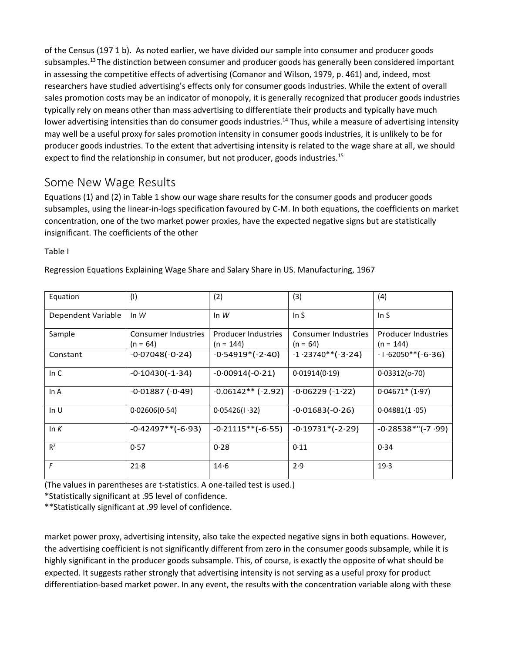of the Census (197 1 b). As noted earlier, we have divided our sample into consumer and producer goods subsamples.<sup>13</sup> The distinction between consumer and producer goods has generally been considered important in assessing the competitive effects of advertising (Comanor and Wilson, 1979, p. 461) and, indeed, most researchers have studied advertising's effects only for consumer goods industries. While the extent of overall sales promotion costs may be an indicator of monopoly, it is generally recognized that producer goods industries typically rely on means other than mass advertising to differentiate their products and typically have much lower advertising intensities than do consumer goods industries.<sup>14</sup> Thus, while a measure of advertising intensity may well be a useful proxy for sales promotion intensity in consumer goods industries, it is unlikely to be for producer goods industries. To the extent that advertising intensity is related to the wage share at all, we should expect to find the relationship in consumer, but not producer, goods industries.<sup>15</sup>

#### Some New Wage Results

Equations (1) and (2) in Table 1 show our wage share results for the consumer goods and producer goods subsamples, using the linear-in-logs specification favoured by C-M. In both equations, the coefficients on market concentration, one of the two market power proxies, have the expected negative signs but are statistically insignificant. The coefficients of the other

Table I

|  |  |  | Regression Equations Explaining Wage Share and Salary Share in US. Manufacturing, 1967 |  |
|--|--|--|----------------------------------------------------------------------------------------|--|
|  |  |  |                                                                                        |  |

| Equation           | (1)                                      | (2)                                | (3)                               | (4)                                       |
|--------------------|------------------------------------------|------------------------------------|-----------------------------------|-------------------------------------------|
| Dependent Variable | In $W$                                   | In $W$                             | In $S$                            | In $S$                                    |
| Sample             | <b>Consumer Industries</b><br>$(n = 64)$ | Producer Industries<br>$(n = 144)$ | Consumer Industries<br>$(n = 64)$ | <b>Producer Industries</b><br>$(n = 144)$ |
| Constant           | $-0.07048(-0.24)$                        | $-0.54919*(-2.40)$                 | $-1.23740**(-3.24)$               | $-1.62050**(-6.36)$                       |
| In $C$             | $-0.10430(-1.34)$                        | $-0.00914(-0.21)$                  | 0.01914(0.19)                     | $0.03312(0-70)$                           |
| In A               | $-0.01887(-0.49)$                        | $-0.06142**$ (-2.92)               | $-0.06229(-1.22)$                 | $0.04671* (1.97)$                         |
| In $U$             | 0.02606(0.54)                            | 0.05426(1.32)                      | $-0.01683(-0.26)$                 | 0.04881(1.05)                             |
| In $K$             | $-0.42497**(-6.93)$                      | $-0.21115**(-6.55)$                | $-0.19731*(-2.29)$                | $-0.28538$ *"(-7.99)                      |
| $R^2$              | 0.57                                     | 0.28                               | 0.11                              | 0.34                                      |
| F                  | 21.8                                     | 14.6                               | 2.9                               | 19.3                                      |

(The values in parentheses are t-statistics. A one-tailed test is used.)

\*Statistically significant at .95 level of confidence.

\*\*Statistically significant at .99 level of confidence.

market power proxy, advertising intensity, also take the expected negative signs in both equations. However, the advertising coefficient is not significantly different from zero in the consumer goods subsample, while it is highly significant in the producer goods subsample. This, of course, is exactly the opposite of what should be expected. It suggests rather strongly that advertising intensity is not serving as a useful proxy for product differentiation-based market power. In any event, the results with the concentration variable along with these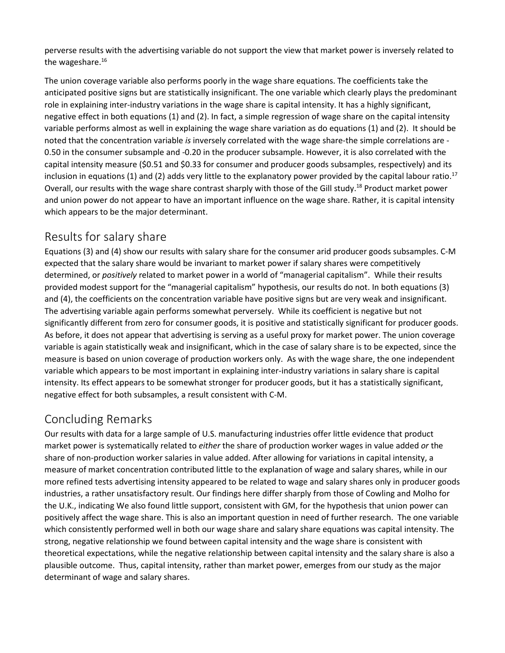perverse results with the advertising variable do not support the view that market power is inversely related to the wageshare.<sup>16</sup>

The union coverage variable also performs poorly in the wage share equations. The coefficients take the anticipated positive signs but are statistically insignificant. The one variable which clearly plays the predominant role in explaining inter-industry variations in the wage share is capital intensity. It has a highly significant, negative effect in both equations (1) and (2). In fact, a simple regression of wage share on the capital intensity variable performs almost as well in explaining the wage share variation as do equations (1) and (2). It should be noted that the concentration variable *is* inversely correlated with the wage share-the simple correlations are - 0.50 in the consumer subsample and -0.20 in the producer subsample. However, it is also correlated with the capital intensity measure (\$0.51 and \$0.33 for consumer and producer goods subsamples, respectively) and its inclusion in equations (1) and (2) adds very little to the explanatory power provided by the capital labour ratio.<sup>17</sup> Overall, our results with the wage share contrast sharply with those of the Gill study.18 Product market power and union power do not appear to have an important influence on the wage share. Rather, it is capital intensity which appears to be the major determinant.

## Results for salary share

Equations (3) and (4) show our results with salary share for the consumer arid producer goods subsamples. C-M expected that the salary share would be invariant to market power if salary shares were competitively determined, or *positively* related to market power in a world of "managerial capitalism". While their results provided modest support for the "managerial capitalism" hypothesis, our results do not. In both equations (3) and (4), the coefficients on the concentration variable have positive signs but are very weak and insignificant. The advertising variable again performs somewhat perversely. While its coefficient is negative but not significantly different from zero for consumer goods, it is positive and statistically significant for producer goods. As before, it does not appear that advertising is serving as a useful proxy for market power. The union coverage variable is again statistically weak and insignificant, which in the case of salary share is to be expected, since the measure is based on union coverage of production workers only. As with the wage share, the one independent variable which appears to be most important in explaining inter-industry variations in salary share is capital intensity. Its effect appears to be somewhat stronger for producer goods, but it has a statistically significant, negative effect for both subsamples, a result consistent with C-M.

## Concluding Remarks

Our results with data for a large sample of U.S. manufacturing industries offer little evidence that product market power is systematically related to *either* the share of production worker wages in value added *or* the share of non-production worker salaries in value added. After allowing for variations in capital intensity, a measure of market concentration contributed little to the explanation of wage and salary shares, while in our more refined tests advertising intensity appeared to be related to wage and salary shares only in producer goods industries, a rather unsatisfactory result. Our findings here differ sharply from those of Cowling and Molho for the U.K., indicating We also found little support, consistent with GM, for the hypothesis that union power can positively affect the wage share. This is also an important question in need of further research. The one variable which consistently performed well in both our wage share and salary share equations was capital intensity. The strong, negative relationship we found between capital intensity and the wage share is consistent with theoretical expectations, while the negative relationship between capital intensity and the salary share is also a plausible outcome. Thus, capital intensity, rather than market power, emerges from our study as the major determinant of wage and salary shares.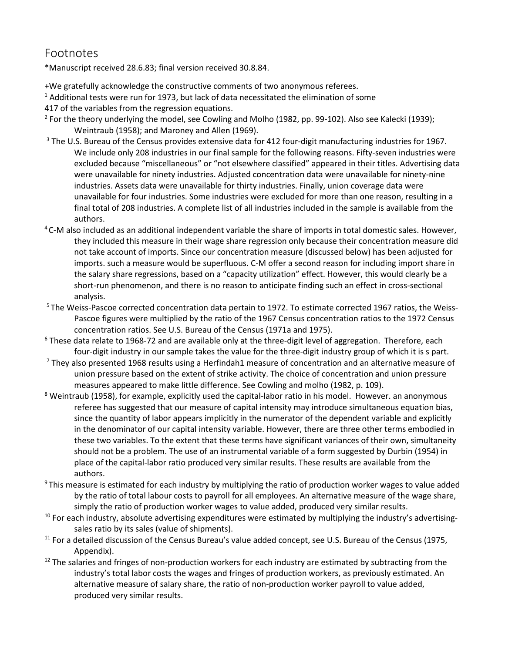#### Footnotes

\*Manuscript received 28.6.83; final version received 30.8.84.

+We gratefully acknowledge the constructive comments of two anonymous referees.

 $<sup>1</sup>$  Additional tests were run for 1973, but lack of data necessitated the elimination of some</sup>

417 of the variables from the regression equations.

- <sup>2</sup> For the theory underlying the model, see Cowling and Molho (1982, pp. 99-102). Also see Kalecki (1939); Weintraub (1958); and Maroney and Allen (1969).
- <sup>3</sup> The U.S. Bureau of the Census provides extensive data for 412 four-digit manufacturing industries for 1967. We include only 208 industries in our final sample for the following reasons. Fifty-seven industries were excluded because "miscellaneous" or "not elsewhere classified" appeared in their titles. Advertising data were unavailable for ninety industries. Adjusted concentration data were unavailable for ninety-nine industries. Assets data were unavailable for thirty industries. Finally, union coverage data were unavailable for four industries. Some industries were excluded for more than one reason, resulting in a final total of 208 industries. A complete list of all industries included in the sample is available from the authors.<br><sup>4</sup> C-M also included as an additional independent variable the share of imports in total domestic sales. However,
- they included this measure in their wage share regression only because their concentration measure did not take account of imports. Since our concentration measure (discussed below) has been adjusted for imports. such a measure would be superfluous. C-M offer a second reason for including import share in the salary share regressions, based on a "capacity utilization" effect. However, this would clearly be a short-run phenomenon, and there is no reason to anticipate finding such an effect in cross-sectional analysis.<br><sup>5</sup> The Weiss-Pascoe corrected concentration data pertain to 1972. To estimate corrected 1967 ratios, the Weiss-
- Pascoe figures were multiplied by the ratio of the 1967 Census concentration ratios to the 1972 Census concentration ratios. See U.S. Bureau of the Census (1971a and 1975).
- <sup>6</sup> These data relate to 1968-72 and are available only at the three-digit level of aggregation. Therefore, each four-digit industry in our sample takes the value for the three-digit industry group of which it is s part. 7 They also presented 1968 results using a Herfindah1 measure of concentration and an alternative measure of
- union pressure based on the extent of strike activity. The choice of concentration and union pressure measures appeared to make little difference. See Cowling and molho (1982, p. 109).
- <sup>8</sup> Weintraub (1958), for example, explicitly used the capital-labor ratio in his model. However, an anonymous referee has suggested that our measure of capital intensity may introduce simultaneous equation bias, since the quantity of labor appears implicitly in the numerator of the dependent variable and explicitly in the denominator of our capital intensity variable. However, there are three other terms embodied in these two variables. To the extent that these terms have significant variances of their own, simultaneity should not be a problem. The use of an instrumental variable of a form suggested by Durbin (1954) in place of the capital-labor ratio produced very similar results. These results are available from the authors.
- <sup>9</sup> This measure is estimated for each industry by multiplying the ratio of production worker wages to value added by the ratio of total labour costs to payroll for all employees. An alternative measure of the wage share, simply the ratio of production worker wages to value added, produced very similar results.
- $10$  For each industry, absolute advertising expenditures were estimated by multiplying the industry's advertisingsales ratio by its sales (value of shipments).
- <sup>11</sup> For a detailed discussion of the Census Bureau's value added concept, see U.S. Bureau of the Census (1975, Appendix).
- $12$  The salaries and fringes of non-production workers for each industry are estimated by subtracting from the industry's total labor costs the wages and fringes of production workers, as previously estimated. An alternative measure of salary share, the ratio of non-production worker payroll to value added, produced very similar results.